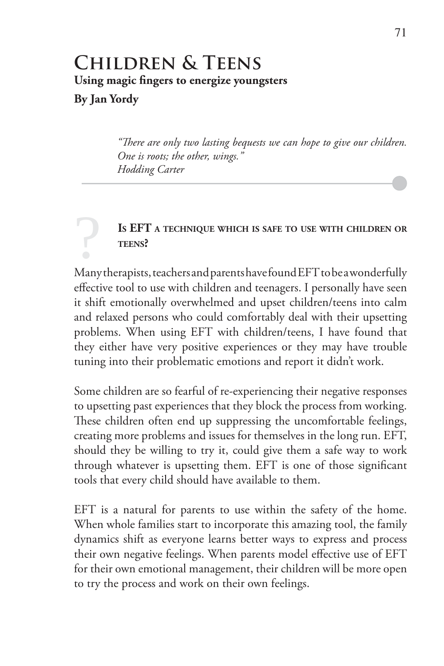# **Children & Teens** Using magic fingers to energize youngsters **By Jan Yordy**

*"Th ere are only two lasting bequests we can hope to give our children. One is roots; the other, wings." Hodding Carter*

#### **IS EFT A TECHNIQUE WHICH IS SAFE TO USE WITH CHILDREN OR TEENS?**

Many therapists, teachers and parents have found EFT to be a wonderfully effective tool to use with children and teenagers. I personally have seen it shift emotionally overwhelmed and upset children/teens into calm and relaxed persons who could comfortably deal with their upsetting problems. When using EFT with children/teens, I have found that they either have very positive experiences or they may have trouble tuning into their problematic emotions and report it didn't work. ?

Some children are so fearful of re-experiencing their negative responses to upsetting past experiences that they block the process from working. These children often end up suppressing the uncomfortable feelings, creating more problems and issues for themselves in the long run. EFT, should they be willing to try it, could give them a safe way to work through whatever is upsetting them. EFT is one of those significant tools that every child should have available to them.

EFT is a natural for parents to use within the safety of the home. When whole families start to incorporate this amazing tool, the family dynamics shift as everyone learns better ways to express and process their own negative feelings. When parents model effective use of EFT for their own emotional management, their children will be more open to try the process and work on their own feelings.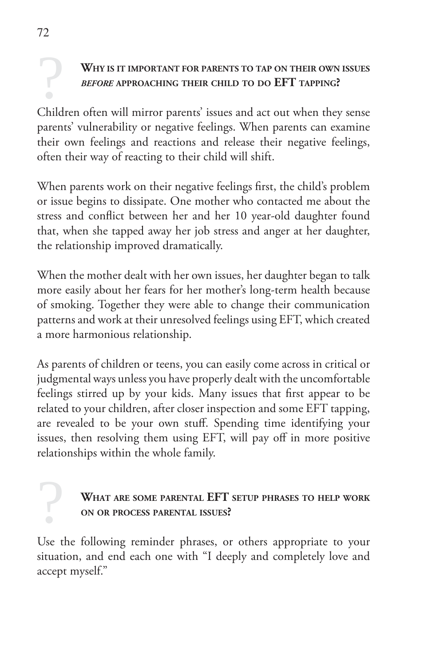### **WHY IS IT IMPORTANT FOR PARENTS TO TAP ON THEIR OWN ISSUES** *BEFORE* **APPROACHING THEIR CHILD TO DO EFT TAPPING?**

Children often will mirror parents' issues and act out when they sense parents' vulnerability or negative feelings. When parents can examine their own feelings and reactions and release their negative feelings, often their way of reacting to their child will shift. ?

When parents work on their negative feelings first, the child's problem or issue begins to dissipate. One mother who contacted me about the stress and conflict between her and her 10 year-old daughter found that, when she tapped away her job stress and anger at her daughter, the relationship improved dramatically.

When the mother dealt with her own issues, her daughter began to talk more easily about her fears for her mother's long-term health because of smoking. Together they were able to change their communication patterns and work at their unresolved feelings using EFT, which created a more harmonious relationship.

As parents of children or teens, you can easily come across in critical or judgmental ways unless you have properly dealt with the uncomfortable feelings stirred up by your kids. Many issues that first appear to be related to your children, after closer inspection and some EFT tapping, are revealed to be your own stuff. Spending time identifying your issues, then resolving them using EFT, will pay off in more positive relationships within the whole family.

### **WHAT ARE SOME PARENTAL EFT SETUP PHRASES TO HELP WORK ON OR PROCESS PARENTAL ISSUES?**

Use the following reminder phrases, or others appropriate to your situation, and end each one with "I deeply and completely love and accept myself." ?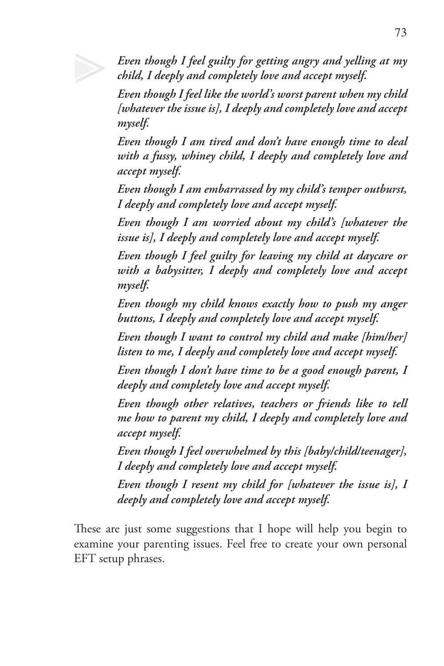*Even though I feel guilty for getting angry and yelling at my child, I deeply and completely love and accept myself.*

>

*Even though I feel like the world's worst parent when my child [whatever the issue is], I deeply and completely love and accept myself.*

*Even though I am tired and don't have enough time to deal with a fussy, whiney child, I deeply and completely love and accept myself.*

*Even though I am embarrassed by my child's temper outburst, I deeply and completely love and accept myself.*

*Even though I am worried about my child's [whatever the issue is], I deeply and completely love and accept myself.*

*Even though I feel guilty for leaving my child at daycare or with a babysitter, I deeply and completely love and accept myself.*

*Even though my child knows exactly how to push my anger buttons, I deeply and completely love and accept myself.*

*Even though I want to control my child and make [him/her] listen to me, I deeply and completely love and accept myself.*

*Even though I don't have time to be a good enough parent, I deeply and completely love and accept myself.*

*Even though other relatives, teachers or friends like to tell me how to parent my child, I deeply and completely love and accept myself.*

*Even though I feel overwhelmed by this [baby/child/teenager], I deeply and completely love and accept myself.*

*Even though I resent my child for [whatever the issue is], I deeply and completely love and accept myself.*

These are just some suggestions that I hope will help you begin to examine your parenting issues. Feel free to create your own personal EFT setup phrases.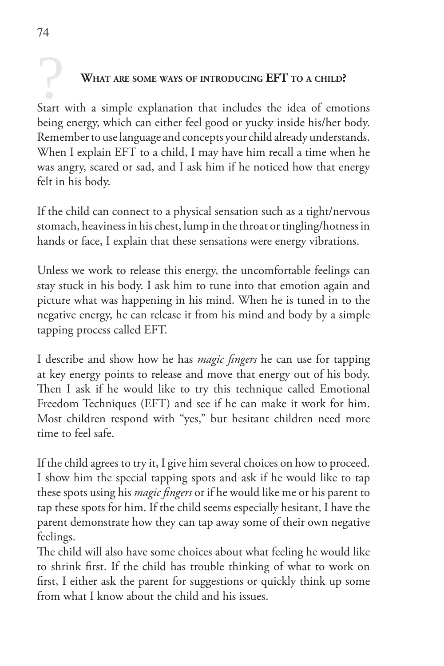### **WHAT ARE SOME WAYS OF INTRODUCING EFT TO <sup>A</sup> CHILD?**

WHAT ARE SOME WAYS OF INTRODUCING EFT TO A CHILD?<br>Start with a simple explanation that includes the idea of emotions being energy, which can either feel good or yucky inside his/her body. Remember to use language and concepts your child already understands. When I explain EFT to a child, I may have him recall a time when he was angry, scared or sad, and I ask him if he noticed how that energy felt in his body.

If the child can connect to a physical sensation such as a tight/nervous stomach, heaviness in his chest, lump in the throat or tingling/hotness in hands or face, I explain that these sensations were energy vibrations.

Unless we work to release this energy, the uncomfortable feelings can stay stuck in his body. I ask him to tune into that emotion again and picture what was happening in his mind. When he is tuned in to the negative energy, he can release it from his mind and body by a simple tapping process called EFT.

I describe and show how he has *magic fingers* he can use for tapping at key energy points to release and move that energy out of his body. Then I ask if he would like to try this technique called Emotional Freedom Techniques (EFT) and see if he can make it work for him. Most children respond with "yes," but hesitant children need more time to feel safe.

If the child agrees to try it, I give him several choices on how to proceed. I show him the special tapping spots and ask if he would like to tap these spots using his *magic fingers* or if he would like me or his parent to tap these spots for him. If the child seems especially hesitant, I have the parent demonstrate how they can tap away some of their own negative feelings.

The child will also have some choices about what feeling he would like to shrink first. If the child has trouble thinking of what to work on first, I either ask the parent for suggestions or quickly think up some from what I know about the child and his issues.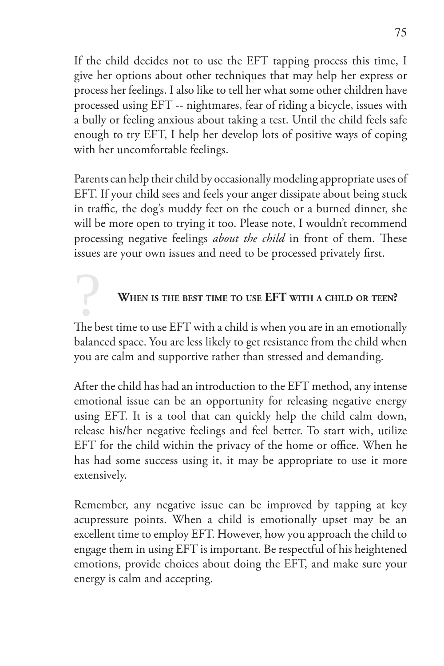If the child decides not to use the EFT tapping process this time, I give her options about other techniques that may help her express or process her feelings. I also like to tell her what some other children have processed using EFT -- nightmares, fear of riding a bicycle, issues with a bully or feeling anxious about taking a test. Until the child feels safe enough to try EFT, I help her develop lots of positive ways of coping with her uncomfortable feelings.

Parents can help their child by occasionally modeling appropriate uses of EFT. If your child sees and feels your anger dissipate about being stuck in traffic, the dog's muddy feet on the couch or a burned dinner, she will be more open to trying it too. Please note, I wouldn't recommend processing negative feelings *about the child* in front of them. These issues are your own issues and need to be processed privately first.

# **WHEN IS THE BEST TIME TO USE EFT WITH <sup>A</sup> CHILD OR TEEN?**

The best time to use EFT with a child is when you are in an emotionally balanced space. You are less likely to get resistance from the child when you are calm and supportive rather than stressed and demanding. **?** 

After the child has had an introduction to the EFT method, any intense emotional issue can be an opportunity for releasing negative energy using EFT. It is a tool that can quickly help the child calm down, release his/her negative feelings and feel better. To start with, utilize EFT for the child within the privacy of the home or office. When he has had some success using it, it may be appropriate to use it more extensively.

Remember, any negative issue can be improved by tapping at key acupressure points. When a child is emotionally upset may be an excellent time to employ EFT. However, how you approach the child to engage them in using EFT is important. Be respectful of his heightened emotions, provide choices about doing the EFT, and make sure your energy is calm and accepting.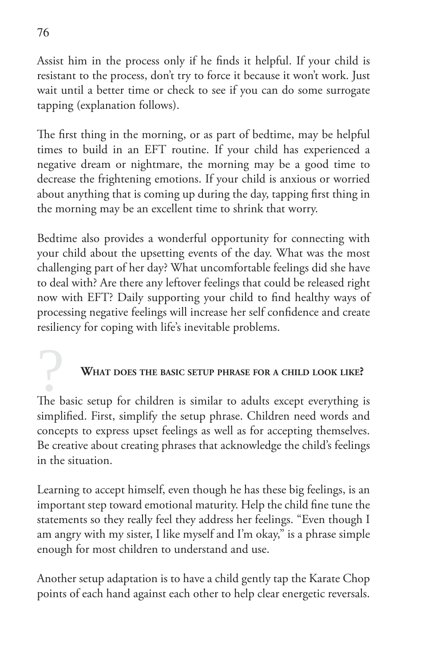Assist him in the process only if he finds it helpful. If your child is resistant to the process, don't try to force it because it won't work. Just wait until a better time or check to see if you can do some surrogate tapping (explanation follows).

The first thing in the morning, or as part of bedtime, may be helpful times to build in an EFT routine. If your child has experienced a negative dream or nightmare, the morning may be a good time to decrease the frightening emotions. If your child is anxious or worried about anything that is coming up during the day, tapping first thing in the morning may be an excellent time to shrink that worry.

Bedtime also provides a wonderful opportunity for connecting with your child about the upsetting events of the day. What was the most challenging part of her day? What uncomfortable feelings did she have to deal with? Are there any leftover feelings that could be released right now with EFT? Daily supporting your child to find healthy ways of processing negative feelings will increase her self confidence and create resiliency for coping with life's inevitable problems.

# **WHAT DOES THE BASIC SETUP PHRASE FOR <sup>A</sup> CHILD LOOK LIKE?**

WHAT DOES THE BASIC SETUP PHRASE FOR A CHILD LOOK LIKE?<br>The basic setup for children is similar to adults except everything is simplified. First, simplify the setup phrase. Children need words and concepts to express upset feelings as well as for accepting themselves. Be creative about creating phrases that acknowledge the child's feelings in the situation.

Learning to accept himself, even though he has these big feelings, is an important step toward emotional maturity. Help the child fine tune the statements so they really feel they address her feelings. "Even though I am angry with my sister, I like myself and I'm okay," is a phrase simple enough for most children to understand and use.

Another setup adaptation is to have a child gently tap the Karate Chop points of each hand against each other to help clear energetic reversals.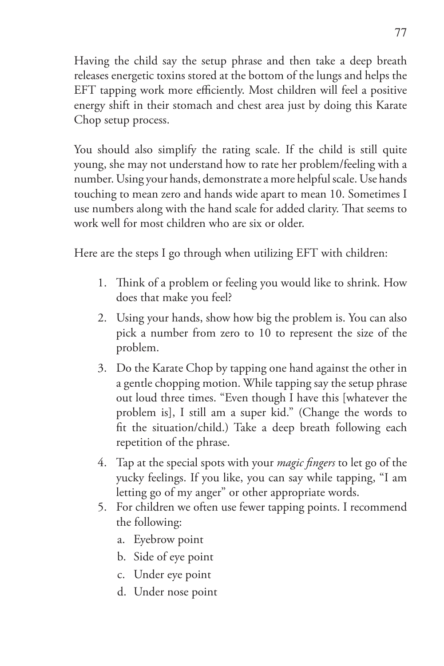Having the child say the setup phrase and then take a deep breath releases energetic toxins stored at the bottom of the lungs and helps the EFT tapping work more efficiently. Most children will feel a positive energy shift in their stomach and chest area just by doing this Karate Chop setup process.

You should also simplify the rating scale. If the child is still quite young, she may not understand how to rate her problem/feeling with a number. Using your hands, demonstrate a more helpful scale. Use hands touching to mean zero and hands wide apart to mean 10. Sometimes I use numbers along with the hand scale for added clarity. That seems to work well for most children who are six or older.

Here are the steps I go through when utilizing EFT with children:

- 1. Think of a problem or feeling you would like to shrink. How does that make you feel?
- 2. Using your hands, show how big the problem is. You can also pick a number from zero to 10 to represent the size of the problem.
- 3. Do the Karate Chop by tapping one hand against the other in a gentle chopping motion. While tapping say the setup phrase out loud three times. "Even though I have this [whatever the problem is], I still am a super kid." (Change the words to fit the situation/child.) Take a deep breath following each repetition of the phrase.
- 4. Tap at the special spots with your *magic fingers* to let go of the yucky feelings. If you like, you can say while tapping, "I am letting go of my anger" or other appropriate words.
- 5. For children we often use fewer tapping points. I recommend the following:
	- a. Eyebrow point
	- b. Side of eye point
	- c. Under eye point
	- d. Under nose point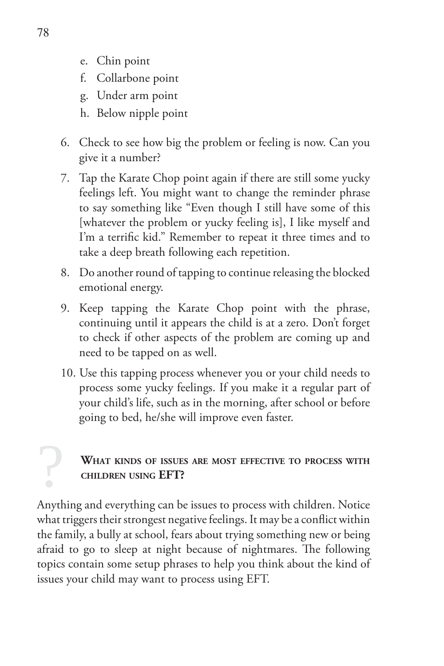- e. Chin point
- f. Collarbone point
- g. Under arm point
- h. Below nipple point
- 6. Check to see how big the problem or feeling is now. Can you give it a number?
- 7. Tap the Karate Chop point again if there are still some yucky feelings left. You might want to change the reminder phrase to say something like "Even though I still have some of this [whatever the problem or yucky feeling is], I like myself and I'm a terrific kid." Remember to repeat it three times and to take a deep breath following each repetition.
- 8. Do another round of tapping to continue releasing the blocked emotional energy.
- 9. Keep tapping the Karate Chop point with the phrase, continuing until it appears the child is at a zero. Don't forget to check if other aspects of the problem are coming up and need to be tapped on as well.
- 10. Use this tapping process whenever you or your child needs to process some yucky feelings. If you make it a regular part of your child's life, such as in the morning, after school or before going to bed, he/she will improve even faster.

### **WHAT KINDS OF ISSUES ARE MOST EFFECTIVE TO PROCESS WITH CHILDREN USING EFT?**

Anything and everything can be issues to process with children. Notice what triggers their strongest negative feelings. It may be a conflict within the family, a bully at school, fears about trying something new or being afraid to go to sleep at night because of nightmares. The following topics contain some setup phrases to help you think about the kind of issues your child may want to process using EFT. ?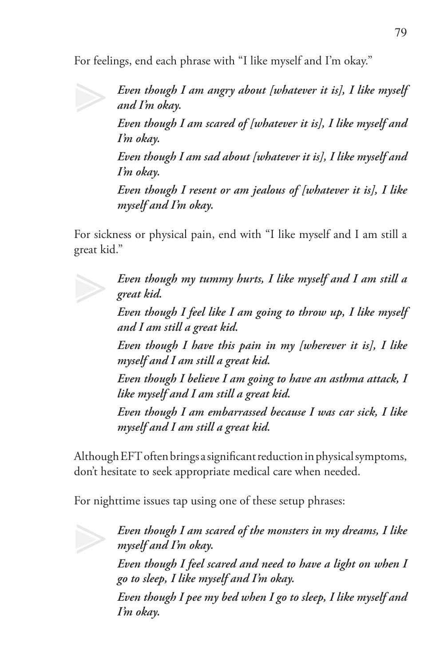For feelings, end each phrase with "I like myself and I'm okay."

*Even though I am angry about [whatever it is], I like myself and I'm okay.*

*Even though I am scared of [whatever it is], I like myself and I'm okay.*

*Even though I am sad about [whatever it is], I like myself and I'm okay.*

*Even though I resent or am jealous of [whatever it is], I like myself and I'm okay.*

For sickness or physical pain, end with "I like myself and I am still a great kid."



>

>

*Even though my tummy hurts, I like myself and I am still a great kid.*

*Even though I feel like I am going to throw up, I like myself and I am still a great kid.*

*Even though I have this pain in my [wherever it is], I like myself and I am still a great kid.*

*Even though I believe I am going to have an asthma attack, I like myself and I am still a great kid.*

*Even though I am embarrassed because I was car sick, I like myself and I am still a great kid.*

Although EFT often brings a significant reduction in physical symptoms, don't hesitate to seek appropriate medical care when needed.

For nighttime issues tap using one of these setup phrases:

*Even though I am scared of the monsters in my dreams, I like myself and I'm okay.*

*Even though I feel scared and need to have a light on when I go to sleep, I like myself and I'm okay.*

*Even though I pee my bed when I go to sleep, I like myself and I'm okay.*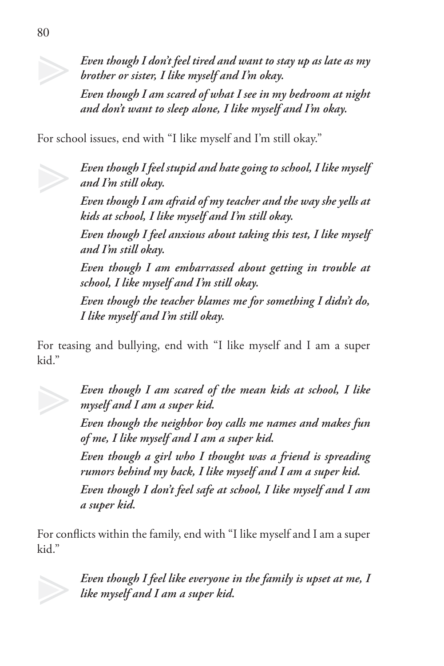*Even though I don't feel tired and want to stay up as late as my brother or sister, I like myself and I'm okay. Even though I am scared of what I see in my bedroom at night* 

*and don't want to sleep alone, I like myself and I'm okay.* >

For school issues, end with "I like myself and I'm still okay."

*Even though I feel stupid and hate going to school, I like myself and I'm still okay.*

*Even though I am afraid of my teacher and the way she yells at kids at school, I like myself and I'm still okay.*

*Even though I feel anxious about taking this test, I like myself and I'm still okay.*

*Even though I am embarrassed about getting in trouble at school, I like myself and I'm still okay.*

*Even though the teacher blames me for something I didn't do, I like myself and I'm still okay.*

For teasing and bullying, end with "I like myself and I am a super kid."

> *Even though I am scared of the mean kids at school, I like myself and I am a super kid.*

> *Even though the neighbor boy calls me names and makes fun of me, I like myself and I am a super kid.*

> *Even though a girl who I thought was a friend is spreading rumors behind my back, I like myself and I am a super kid.*

> *Even though I don't feel safe at school, I like myself and I am a super kid.*

For conflicts within the family, end with "I like myself and I am a super kid."

>

>

*Even though I feel like everyone in the family is upset at me, I like myself and I am a super kid.*

>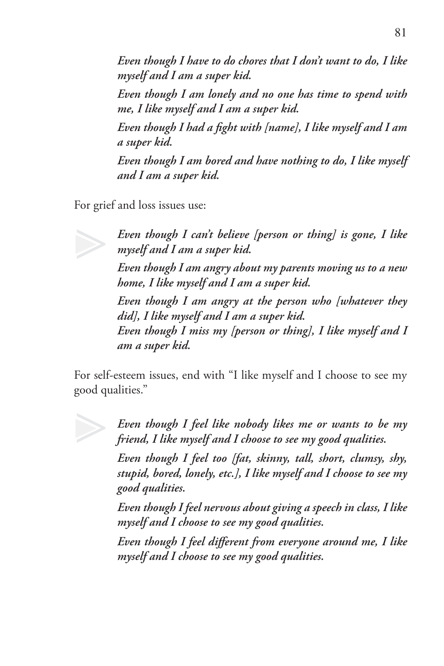*Even though I have to do chores that I don't want to do, I like myself and I am a super kid.*

*Even though I am lonely and no one has time to spend with me, I like myself and I am a super kid.*

*Even though I had a fight with [name], I like myself and I am a super kid.*

*Even though I am bored and have nothing to do, I like myself and I am a super kid.*

For grief and loss issues use:

*Even though I can't believe [person or thing] is gone, I like myself and I am a super kid.*

*Even though I am angry about my parents moving us to a new home, I like myself and I am a super kid.*

*Even though I am angry at the person who [whatever they did], I like myself and I am a super kid.*

*Even though I miss my [person or thing], I like myself and I am a super kid.*

For self-esteem issues, end with "I like myself and I choose to see my good qualities."



>

*Even though I feel like nobody likes me or wants to be my friend, I like myself and I choose to see my good qualities.*

*Even though I feel too [fat, skinny, tall, short, clumsy, shy, stupid, bored, lonely, etc.], I like myself and I choose to see my good qualities.*

*Even though I feel nervous about giving a speech in class, I like myself and I choose to see my good qualities.*

*Even though I feel different from everyone around me, I like myself and I choose to see my good qualities.*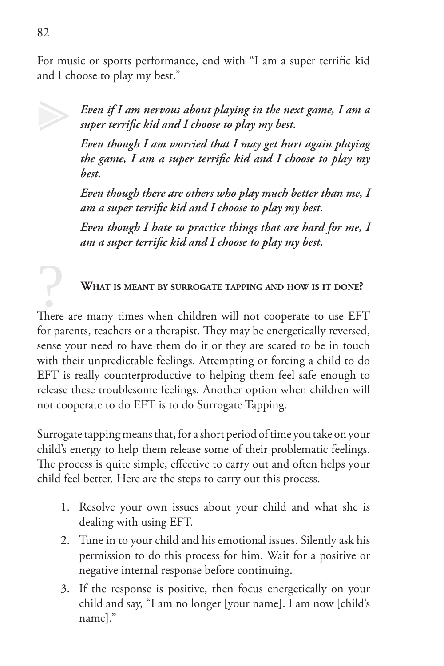For music or sports performance, end with "I am a super terrific kid and I choose to play my best."

> *Even if I am nervous about playing in the next game, I am a*  super terrific kid and I choose to play my best.

> *Even though I am worried that I may get hurt again playing the game, I am a super terrific kid and I choose to play my best.*

> *Even though there are others who play much better than me, I*  am a super terrific kid and I choose to play my best.

> *Even though I hate to practice things that are hard for me, I*  am a super terrific kid and I choose to play my best.

**WHAT IS MEANT BY SURROGATE TAPPING AND HOW IS IT DONE?**

WHAT IS MEANT BY SURROGATE TAPPING AND HOW IS IT DONE?<br>There are many times when children will not cooperate to use EFT for parents, teachers or a therapist. They may be energetically reversed, sense your need to have them do it or they are scared to be in touch with their unpredictable feelings. Attempting or forcing a child to do EFT is really counterproductive to helping them feel safe enough to release these troublesome feelings. Another option when children will not cooperate to do EFT is to do Surrogate Tapping.

Surrogate tapping means that, for a short period of time you take on your child's energy to help them release some of their problematic feelings. The process is quite simple, effective to carry out and often helps your child feel better. Here are the steps to carry out this process.

- 1. Resolve your own issues about your child and what she is dealing with using EFT.
- 2. Tune in to your child and his emotional issues. Silently ask his permission to do this process for him. Wait for a positive or negative internal response before continuing.
- 3. If the response is positive, then focus energetically on your child and say, "I am no longer [your name]. I am now [child's name]."

>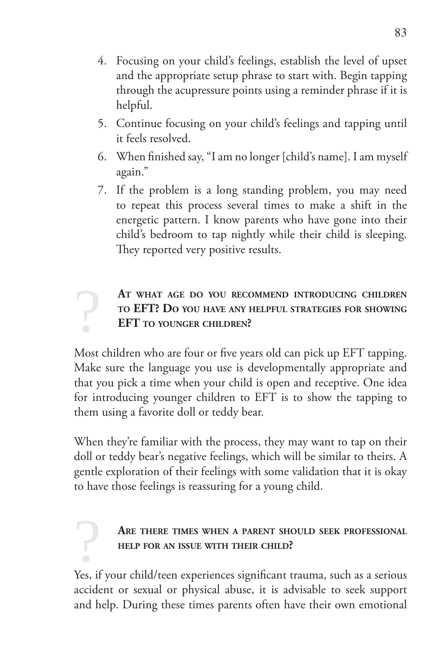- 4. Focusing on your child's feelings, establish the level of upset and the appropriate setup phrase to start with. Begin tapping through the acupressure points using a reminder phrase if it is helpful.
- 5. Continue focusing on your child's feelings and tapping until it feels resolved.
- 6. When finished say, "I am no longer [child's name]. I am myself again."
- 7. If the problem is a long standing problem, you may need to repeat this process several times to make a shift in the energetic pattern. I know parents who have gone into their child's bedroom to tap nightly while their child is sleeping. They reported very positive results.

### **AT WHAT AGE DO YOU RECOMMEND INTRODUCING CHILDREN TO EFT? DO YOU HAVE ANY HELPFUL STRATEGIES FOR SHOWING EFT TO YOUNGER CHILDREN?**

Most children who are four or five years old can pick up EFT tapping. Make sure the language you use is developmentally appropriate and that you pick a time when your child is open and receptive. One idea for introducing younger children to EFT is to show the tapping to them using a favorite doll or teddy bear.

?

When they're familiar with the process, they may want to tap on their doll or teddy bear's negative feelings, which will be similar to theirs. A gentle exploration of their feelings with some validation that it is okay to have those feelings is reassuring for a young child.

## **ARE THERE TIMES WHEN A PARENT SHOULD SEEK PROFESSIONAL HELP FOR AN ISSUE WITH THEIR CHILD?**

Yes, if your child/teen experiences significant trauma, such as a serious accident or sexual or physical abuse, it is advisable to seek support and help. During these times parents often have their own emotional ?